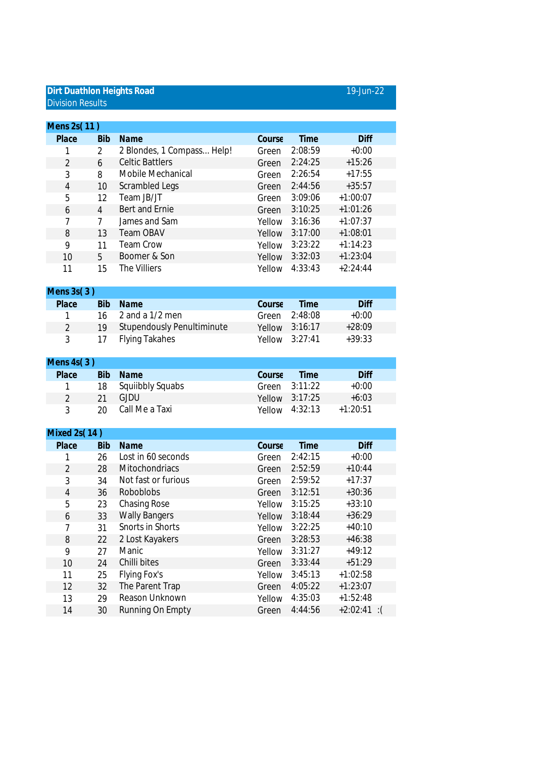## **Dirt Duathlon Heights Road** 19-Jun-22 Division Results

| Mens 2s(11)    |                   |                                   |        |             |             |  |
|----------------|-------------------|-----------------------------------|--------|-------------|-------------|--|
| Place          | <b>Bib</b>        | Name                              | Course | Time        | <b>Diff</b> |  |
|                | 2                 | 2 Blondes, 1 Compass Help!        | Green  | 2:08:59     | $+0:00$     |  |
| $\overline{2}$ | 6                 | <b>Celtic Battlers</b>            | Green  | 2:24:25     | $+15:26$    |  |
| 3              | 8                 | Mobile Mechanical                 | Green  | 2:26:54     | $+17:55$    |  |
| 4              | 10                | Scrambled Legs                    | Green  | 2:44:56     | $+35:57$    |  |
| 5              | $12 \overline{ }$ | Team JB/JT                        | Green  | 3:09:06     | $+1:00:07$  |  |
| 6              | 4                 | Bert and Ernie                    | Green  | 3:10:25     | $+1:01:26$  |  |
| 7              | $\overline{7}$    | James and Sam                     | Yellow | 3:16:36     | $+1:07:37$  |  |
| 8              | 13                | <b>Team OBAV</b>                  | Yellow | 3:17:00     | $+1:08:01$  |  |
| 9              | 11                | <b>Team Crow</b>                  | Yellow | 3:23:22     | $+1:14:23$  |  |
| 10             | 5                 | Boomer & Son                      | Yellow | 3:32:03     | $+1:23:04$  |  |
| 11             | 15                | The Villiers                      | Yellow | 4:33:43     | $+2:24:44$  |  |
|                |                   |                                   |        |             |             |  |
| Mens $3s(3)$   |                   |                                   |        |             |             |  |
| Place          | <b>Bib</b>        | Name                              | Course | <b>Time</b> | Diff        |  |
|                | 16                | 2 and a 1/2 men                   | Green  | 2:48:08     | $+0:00$     |  |
| $\mathfrak{D}$ | 19                | <b>Stupendously Penultiminute</b> | Yellow | 3:16:17     | $+28:09$    |  |
| 3              | 17                | <b>Flying Takahes</b>             | Yellow | 3:27:41     | $+39:33$    |  |
|                |                   |                                   |        |             |             |  |
| Mens $4s(3)$   |                   |                                   |        |             |             |  |

| $1$ VICIIJ 431 J |                |    |                     |        |                |             |
|------------------|----------------|----|---------------------|--------|----------------|-------------|
|                  | Place          |    | Bib Name            | Course | <b>Time</b>    | <b>Diff</b> |
|                  | $\overline{1}$ |    | 18 Squiibbly Squabs |        | Green 3:11:22  | $+0:00$     |
|                  | $\mathcal{D}$  | 21 | GJDU –              |        | Yellow 3:17:25 | $+6:03$     |
|                  | 3              |    | 20 Call Me a Taxi   |        | Yellow 4:32:13 | $+1:20:51$  |
|                  |                |    |                     |        |                |             |

| Mixed 2s(14) |                       |        |         |                          |  |  |  |
|--------------|-----------------------|--------|---------|--------------------------|--|--|--|
| <b>Bib</b>   | Name                  | Course | Time    | <b>Diff</b>              |  |  |  |
| 26           | Lost in 60 seconds    | Green  | 2:42:15 | $+0:00$                  |  |  |  |
| 28           | <b>Mitochondriacs</b> | Green  | 2:52:59 | $+10:44$                 |  |  |  |
| 34           | Not fast or furious   | Green  | 2:59:52 | $+17:37$                 |  |  |  |
| 36           | <b>Roboblobs</b>      | Green  | 3:12:51 | $+30:36$                 |  |  |  |
| 23           | <b>Chasing Rose</b>   | Yellow | 3:15:25 | $+33:10$                 |  |  |  |
| 33           | <b>Wally Bangers</b>  | Yellow | 3:18:44 | $+36:29$                 |  |  |  |
| 31           | Snorts in Shorts      | Yellow | 3:22:25 | $+40:10$                 |  |  |  |
| 22           | 2 Lost Kayakers       | Green  | 3:28:53 | $+46:38$                 |  |  |  |
| 27           | Manic                 | Yellow | 3:31:27 | $+49:12$                 |  |  |  |
| 24           | Chilli bites          | Green  | 3:33:44 | $+51:29$                 |  |  |  |
| 25           | Flying Fox's          | Yellow | 3:45:13 | $+1:02:58$               |  |  |  |
| 32           | The Parent Trap       | Green  | 4:05:22 | $+1:23:07$               |  |  |  |
| 29           | Reason Unknown        | Yellow | 4:35:03 | $+1:52:48$               |  |  |  |
| 30           | Running On Empty      | Green  | 4:44:56 | $+2:02:41$<br>$\cdot$ :( |  |  |  |
|              |                       |        |         |                          |  |  |  |